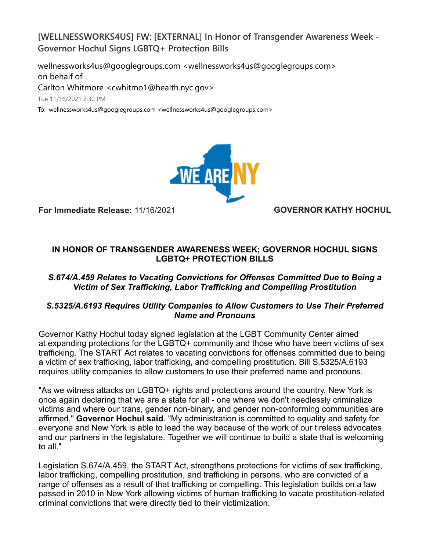**[WELLNESSWORKS4US] FW: [EXTERNAL] In Honor of Transgender Awareness Week - Governor Hochul Signs LGBTQ+ Protection Bills**

wellnessworks4us@googlegroups.com <wellnessworks4us@googlegroups.com> on behalf of

Carlton Whitmore <cwhitmo1@health.nyc.gov>

Tue 11/16/2021 2:30 PM

To: wellnessworks4us@googlegroups.com <wellnessworks4us@googlegroups.com>



**For Immediate Release:** 11/16/2021 **GOVERNOR KATHY HOCHUL**

# **IN HONOR OF TRANSGENDER AWARENESS WEEK; GOVERNOR HOCHUL SIGNS LGBTQ+ PROTECTION BILLS**

## *S.674/A.459 Relates to Vacating Convictions for Offenses Committed Due to Being a Victim of Sex Trafficking, Labor Trafficking and Compelling Prostitution*

## *S.5325/A.6193 Requires Utility Companies to Allow Customers to Use Their Preferred Name and Pronouns*

Governor Kathy Hochul today signed legislation at the LGBT Community Center aimed at expanding protections for the LGBTQ+ community and those who have been victims of sex trafficking. The START Act relates to vacating convictions for offenses committed due to being a victim of sex trafficking, labor trafficking, and compelling prostitution. Bill S.5325/A.6193 requires utility companies to allow customers to use their preferred name and pronouns.

"As we witness attacks on LGBTQ+ rights and protections around the country, New York is once again declaring that we are a state for all - one where we don't needlessly criminalize victims and where our trans, gender non-binary, and gender non-conforming communities are affirmed," **Governor Hochul said**. "My administration is committed to equality and safety for everyone and New York is able to lead the way because of the work of our tireless advocates and our partners in the legislature. Together we will continue to build a state that is welcoming to all."

Legislation S.674/A.459, the START Act, strengthens protections for victims of sex trafficking, labor trafficking, compelling prostitution, and trafficking in persons, who are convicted of a range of offenses as a result of that trafficking or compelling. This legislation builds on a law passed in 2010 in New York allowing victims of human trafficking to vacate prostitution-related criminal convictions that were directly tied to their victimization.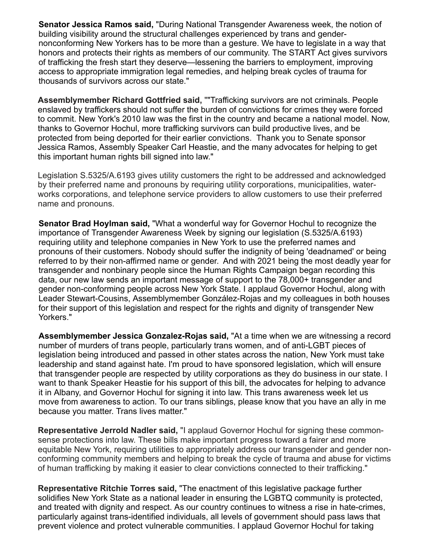**Senator Jessica Ramos said,** "During National Transgender Awareness week, the notion of building visibility around the structural challenges experienced by trans and gendernonconforming New Yorkers has to be more than a gesture. We have to legislate in a way that honors and protects their rights as members of our community. The START Act gives survivors of trafficking the fresh start they deserve—lessening the barriers to employment, improving access to appropriate immigration legal remedies, and helping break cycles of trauma for thousands of survivors across our state."

**Assemblymember Richard Gottfried said,** ""Trafficking survivors are not criminals. People enslaved by traffickers should not suffer the burden of convictions for crimes they were forced to commit. New York's 2010 law was the first in the country and became a national model. Now, thanks to Governor Hochul, more trafficking survivors can build productive lives, and be protected from being deported for their earlier convictions. Thank you to Senate sponsor Jessica Ramos, Assembly Speaker Carl Heastie, and the many advocates for helping to get this important human rights bill signed into law."

Legislation S.5325/A.6193 gives utility customers the right to be addressed and acknowledged by their preferred name and pronouns by requiring utility corporations, municipalities, waterworks corporations, and telephone service providers to allow customers to use their preferred name and pronouns.

**Senator Brad Hoylman said,** "What a wonderful way for Governor Hochul to recognize the importance of Transgender Awareness Week by signing our legislation (S.5325/A.6193) requiring utility and telephone companies in New York to use the preferred names and pronouns of their customers. Nobody should suffer the indignity of being 'deadnamed' or being referred to by their non-affirmed name or gender. And with 2021 being the most deadly year for transgender and nonbinary people since the Human Rights Campaign began recording this data, our new law sends an important message of support to the 78,000+ transgender and gender non-conforming people across New York State. I applaud Governor Hochul, along with Leader Stewart-Cousins, Assemblymember González-Rojas and my colleagues in both houses for their support of this legislation and respect for the rights and dignity of transgender New Yorkers."

**Assemblymember Jessica Gonzalez-Rojas said,** "At a time when we are witnessing a record number of murders of trans people, particularly trans women, and of anti-LGBT pieces of legislation being introduced and passed in other states across the nation, New York must take leadership and stand against hate. I'm proud to have sponsored legislation, which will ensure that transgender people are respected by utility corporations as they do business in our state. I want to thank Speaker Heastie for his support of this bill, the advocates for helping to advance it in Albany, and Governor Hochul for signing it into law. This trans awareness week let us move from awareness to action. To our trans siblings, please know that you have an ally in me because you matter. Trans lives matter."

**Representative Jerrold Nadler said,** "I applaud Governor Hochul for signing these commonsense protections into law. These bills make important progress toward a fairer and more equitable New York, requiring utilities to appropriately address our transgender and gender nonconforming community members and helping to break the cycle of trauma and abuse for victims of human trafficking by making it easier to clear convictions connected to their trafficking."

**Representative Ritchie Torres said,** "The enactment of this legislative package further solidifies New York State as a national leader in ensuring the LGBTQ community is protected, and treated with dignity and respect. As our country continues to witness a rise in hate-crimes, particularly against trans-identified individuals, all levels of government should pass laws that prevent violence and protect vulnerable communities. I applaud Governor Hochul for taking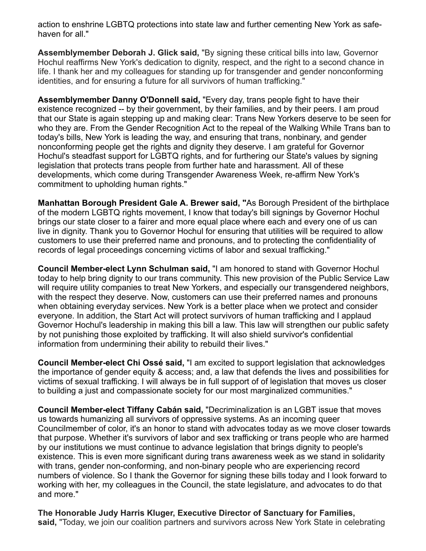action to enshrine LGBTQ protections into state law and further cementing New York as safehaven for all."

**Assemblymember Deborah J. Glick said,** "By signing these critical bills into law, Governor Hochul reaffirms New York's dedication to dignity, respect, and the right to a second chance in life. I thank her and my colleagues for standing up for transgender and gender nonconforming identities, and for ensuring a future for all survivors of human trafficking."

**Assemblymember Danny O'Donnell said,** "Every day, trans people fight to have their existence recognized -- by their government, by their families, and by their peers. I am proud that our State is again stepping up and making clear: Trans New Yorkers deserve to be seen for who they are. From the Gender Recognition Act to the repeal of the Walking While Trans ban to today's bills, New York is leading the way, and ensuring that trans, nonbinary, and gender nonconforming people get the rights and dignity they deserve. I am grateful for Governor Hochul's steadfast support for LGBTQ rights, and for furthering our State's values by signing legislation that protects trans people from further hate and harassment. All of these developments, which come during Transgender Awareness Week, re-affirm New York's commitment to upholding human rights."

**Manhattan Borough President Gale A. Brewer said, "**As Borough President of the birthplace of the modern LGBTQ rights movement, I know that today's bill signings by Governor Hochul brings our state closer to a fairer and more equal place where each and every one of us can live in dignity. Thank you to Governor Hochul for ensuring that utilities will be required to allow customers to use their preferred name and pronouns, and to protecting the confidentiality of records of legal proceedings concerning victims of labor and sexual trafficking."

**Council Member-elect Lynn Schulman said,** "I am honored to stand with Governor Hochul today to help bring dignity to our trans community. This new provision of the Public Service Law will require utility companies to treat New Yorkers, and especially our transgendered neighbors, with the respect they deserve. Now, customers can use their preferred names and pronouns when obtaining everyday services. New York is a better place when we protect and consider everyone. In addition, the Start Act will protect survivors of human trafficking and I applaud Governor Hochul's leadership in making this bill a law. This law will strengthen our public safety by not punishing those exploited by trafficking. It will also shield survivor's confidential information from undermining their ability to rebuild their lives."

**Council Member-elect Chi Ossé said,** "I am excited to support legislation that acknowledges the importance of gender equity & access; and, a law that defends the lives and possibilities for victims of sexual trafficking. I will always be in full support of of legislation that moves us closer to building a just and compassionate society for our most marginalized communities."

**Council Member-elect Tiffany Cabán said,** "Decriminalization is an LGBT issue that moves us towards humanizing all survivors of oppressive systems. As an incoming queer Councilmember of color, it's an honor to stand with advocates today as we move closer towards that purpose. Whether it's survivors of labor and sex trafficking or trans people who are harmed by our institutions we must continue to advance legislation that brings dignity to people's existence. This is even more significant during trans awareness week as we stand in solidarity with trans, gender non-conforming, and non-binary people who are experiencing record numbers of violence. So I thank the Governor for signing these bills today and I look forward to working with her, my colleagues in the Council, the state legislature, and advocates to do that and more."

**The Honorable Judy Harris Kluger, Executive Director of Sanctuary for Families, said,** "Today, we join our coalition partners and survivors across New York State in celebrating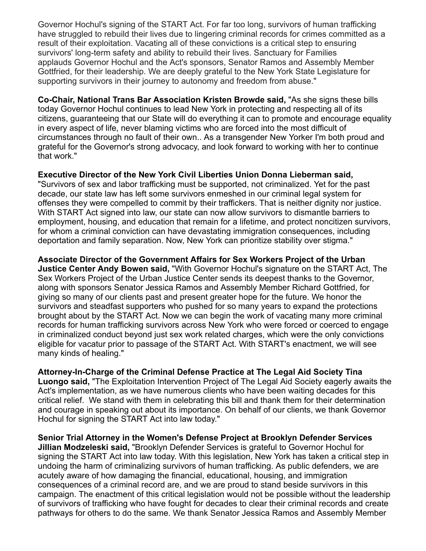Governor Hochul's signing of the START Act. For far too long, survivors of human trafficking have struggled to rebuild their lives due to lingering criminal records for crimes committed as a result of their exploitation. Vacating all of these convictions is a critical step to ensuring survivors' long-term safety and ability to rebuild their lives. Sanctuary for Families applauds Governor Hochul and the Act's sponsors, Senator Ramos and Assembly Member Gottfried, for their leadership. We are deeply grateful to the New York State Legislature for supporting survivors in their journey to autonomy and freedom from abuse."

**Co-Chair, National Trans Bar Association Kristen Browde said,** "As she signs these bills today Governor Hochul continues to lead New York in protecting and respecting all of its citizens, guaranteeing that our State will do everything it can to promote and encourage equality in every aspect of life, never blaming victims who are forced into the most difficult of circumstances through no fault of their own.. As a transgender New Yorker I'm both proud and grateful for the Governor's strong advocacy, and look forward to working with her to continue that work."

#### **Executive Director of the New York Civil Liberties Union Donna Lieberman said,**

"Survivors of sex and labor trafficking must be supported, not criminalized. Yet for the past decade, our state law has left some survivors enmeshed in our criminal legal system for offenses they were compelled to commit by their traffickers. That is neither dignity nor justice. With START Act signed into law, our state can now allow survivors to dismantle barriers to employment, housing, and education that remain for a lifetime, and protect noncitizen survivors, for whom a criminal conviction can have devastating immigration consequences, including deportation and family separation. Now, New York can prioritize stability over stigma."

**Associate Director of the Government Affairs for Sex Workers Project of the Urban Justice Center Andy Bowen said,** "With Governor Hochul's signature on the START Act, The Sex Workers Project of the Urban Justice Center sends its deepest thanks to the Governor, along with sponsors Senator Jessica Ramos and Assembly Member Richard Gottfried, for giving so many of our clients past and present greater hope for the future. We honor the survivors and steadfast supporters who pushed for so many years to expand the protections brought about by the START Act. Now we can begin the work of vacating many more criminal records for human trafficking survivors across New York who were forced or coerced to engage in criminalized conduct beyond just sex work related charges, which were the only convictions eligible for vacatur prior to passage of the START Act. With START's enactment, we will see many kinds of healing."

**Attorney-In-Charge of the Criminal Defense Practice at The Legal Aid Society Tina Luongo said,** "The Exploitation Intervention Project of The Legal Aid Society eagerly awaits the Act's implementation, as we have numerous clients who have been waiting decades for this critical relief. We stand with them in celebrating this bill and thank them for their determination and courage in speaking out about its importance. On behalf of our clients, we thank Governor Hochul for signing the START Act into law today."

**Senior Trial Attorney in the Women's Defense Project at Brooklyn Defender Services Jillian Modzeleski said,** "Brooklyn Defender Services is grateful to Governor Hochul for signing the START Act into law today. With this legislation, New York has taken a critical step in undoing the harm of criminalizing survivors of human trafficking. As public defenders, we are acutely aware of how damaging the financial, educational, housing, and immigration consequences of a criminal record are, and we are proud to stand beside survivors in this campaign. The enactment of this critical legislation would not be possible without the leadership of survivors of trafficking who have fought for decades to clear their criminal records and create pathways for others to do the same. We thank Senator Jessica Ramos and Assembly Member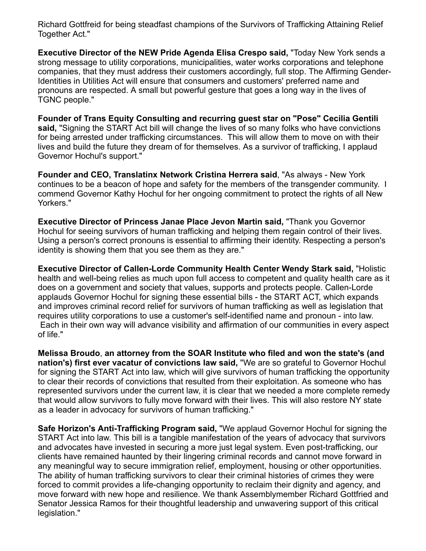Richard Gottfreid for being steadfast champions of the Survivors of Trafficking Attaining Relief Together Act."

**Executive Director of the NEW Pride Agenda Elisa Crespo said,** "Today New York sends a strong message to utility corporations, municipalities, water works corporations and telephone companies, that they must address their customers accordingly, full stop. The Affirming Gender-Identities in Utilities Act will ensure that consumers and customers' preferred name and pronouns are respected. A small but powerful gesture that goes a long way in the lives of TGNC people."

**Founder of Trans Equity Consulting and recurring guest star on "Pose" Cecilia Gentili said,** "Signing the START Act bill will change the lives of so many folks who have convictions for being arrested under trafficking circumstances. This will allow them to move on with their lives and build the future they dream of for themselves. As a survivor of trafficking, I applaud Governor Hochul's support."

**Founder and CEO, Translatinx Network Cristina Herrera said**, "As always - New York continues to be a beacon of hope and safety for the members of the transgender community. I commend Governor Kathy Hochul for her ongoing commitment to protect the rights of all New Yorkers."

**Executive Director of Princess Janae Place Jevon Martin said,** "Thank you Governor Hochul for seeing survivors of human trafficking and helping them regain control of their lives. Using a person's correct pronouns is essential to affirming their identity. Respecting a person's identity is showing them that you see them as they are."

**Executive Director of Callen-Lorde Community Health Center Wendy Stark said,** "Holistic health and well-being relies as much upon full access to competent and quality health care as it does on a government and society that values, supports and protects people. Callen-Lorde applauds Governor Hochul for signing these essential bills - the START ACT, which expands and improves criminal record relief for survivors of human trafficking as well as legislation that requires utility corporations to use a customer's self-identified name and pronoun - into law. Each in their own way will advance visibility and affirmation of our communities in every aspect of life."

**Melissa Broudo**, **an attorney from the SOAR Institute who filed and won the state's (and nation's) first ever vacatur of convictions law said,** "We are so grateful to Governor Hochul for signing the START Act into law, which will give survivors of human trafficking the opportunity to clear their records of convictions that resulted from their exploitation. As someone who has represented survivors under the current law, it is clear that we needed a more complete remedy that would allow survivors to fully move forward with their lives. This will also restore NY state as a leader in advocacy for survivors of human trafficking."

**Safe Horizon's Anti-Trafficking Program said,** "We applaud Governor Hochul for signing the START Act into law. This bill is a tangible manifestation of the years of advocacy that survivors and advocates have invested in securing a more just legal system. Even post-trafficking, our clients have remained haunted by their lingering criminal records and cannot move forward in any meaningful way to secure immigration relief, employment, housing or other opportunities. The ability of human trafficking survivors to clear their criminal histories of crimes they were forced to commit provides a life-changing opportunity to reclaim their dignity and agency, and move forward with new hope and resilience. We thank Assemblymember Richard Gottfried and Senator Jessica Ramos for their thoughtful leadership and unwavering support of this critical legislation."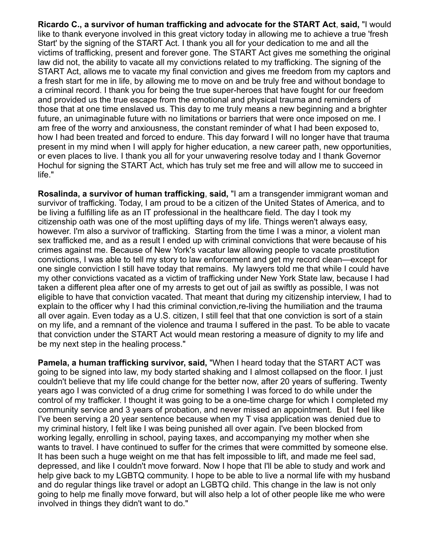**Ricardo C., a survivor of human trafficking and advocate for the START Act**, **said,** "I would like to thank everyone involved in this great victory today in allowing me to achieve a true 'fresh Start' by the signing of the START Act. I thank you all for your dedication to me and all the victims of trafficking, present and forever gone. The START Act gives me something the original law did not, the ability to vacate all my convictions related to my trafficking. The signing of the START Act, allows me to vacate my final conviction and gives me freedom from my captors and a fresh start for me in life, by allowing me to move on and be truly free and without bondage to a criminal record. I thank you for being the true super-heroes that have fought for our freedom and provided us the true escape from the emotional and physical trauma and reminders of those that at one time enslaved us. This day to me truly means a new beginning and a brighter future, an unimaginable future with no limitations or barriers that were once imposed on me. I am free of the worry and anxiousness, the constant reminder of what I had been exposed to, how I had been treated and forced to endure. This day forward I will no longer have that trauma present in my mind when I will apply for higher education, a new career path, new opportunities, or even places to live. I thank you all for your unwavering resolve today and I thank Governor Hochul for signing the START Act, which has truly set me free and will allow me to succeed in life."

**Rosalinda, a survivor of human trafficking**, **said,** "I am a transgender immigrant woman and survivor of trafficking. Today, I am proud to be a citizen of the United States of America, and to be living a fulfilling life as an IT professional in the healthcare field. The day I took my citizenship oath was one of the most uplifting days of my life. Things weren't always easy, however. I'm also a survivor of trafficking. Starting from the time I was a minor, a violent man sex trafficked me, and as a result I ended up with criminal convictions that were because of his crimes against me. Because of New York's vacatur law allowing people to vacate prostitution convictions, I was able to tell my story to law enforcement and get my record clean—except for one single conviction I still have today that remains. My lawyers told me that while I could have my other convictions vacated as a victim of trafficking under New York State law, because I had taken a different plea after one of my arrests to get out of jail as swiftly as possible, I was not eligible to have that conviction vacated. That meant that during my citizenship interview, I had to explain to the officer why I had this criminal conviction,re-living the humiliation and the trauma all over again. Even today as a U.S. citizen, I still feel that that one conviction is sort of a stain on my life, and a remnant of the violence and trauma I suffered in the past. To be able to vacate that conviction under the START Act would mean restoring a measure of dignity to my life and be my next step in the healing process."

**Pamela, a human trafficking survivor, said,** "When I heard today that the START ACT was going to be signed into law, my body started shaking and I almost collapsed on the floor. I just couldn't believe that my life could change for the better now, after 20 years of suffering. Twenty years ago I was convicted of a drug crime for something I was forced to do while under the control of my trafficker. I thought it was going to be a one-time charge for which I completed my community service and 3 years of probation, and never missed an appointment. But I feel like I've been serving a 20 year sentence because when my T visa application was denied due to my criminal history, I felt like I was being punished all over again. I've been blocked from working legally, enrolling in school, paying taxes, and accompanying my mother when she wants to travel. I have continued to suffer for the crimes that were committed by someone else. It has been such a huge weight on me that has felt impossible to lift, and made me feel sad, depressed, and like I couldn't move forward. Now I hope that I'll be able to study and work and help give back to my LGBTQ community. I hope to be able to live a normal life with my husband and do regular things like travel or adopt an LGBTQ child. This change in the law is not only going to help me finally move forward, but will also help a lot of other people like me who were involved in things they didn't want to do."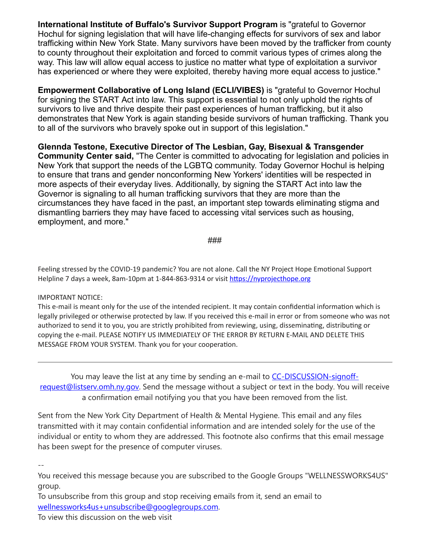**International Institute of Buffalo's Survivor Support Program** is "grateful to Governor Hochul for signing legislation that will have life-changing effects for survivors of sex and labor trafficking within New York State. Many survivors have been moved by the trafficker from county to county throughout their exploitation and forced to commit various types of crimes along the way. This law will allow equal access to justice no matter what type of exploitation a survivor has experienced or where they were exploited, thereby having more equal access to justice."

**Empowerment Collaborative of Long Island (ECLI/VIBES)** is "grateful to Governor Hochul for signing the START Act into law. This support is essential to not only uphold the rights of survivors to live and thrive despite their past experiences of human trafficking, but it also demonstrates that New York is again standing beside survivors of human trafficking. Thank you to all of the survivors who bravely spoke out in support of this legislation."

**Glennda Testone, Executive Director of The Lesbian, Gay, Bisexual & Transgender Community Center said,** "The Center is committed to advocating for legislation and policies in New York that support the needs of the LGBTQ community. Today Governor Hochul is helping to ensure that trans and gender nonconforming New Yorkers' identities will be respected in more aspects of their everyday lives. Additionally, by signing the START Act into law the Governor is signaling to all human trafficking survivors that they are more than the circumstances they have faced in the past, an important step towards eliminating stigma and dismantling barriers they may have faced to accessing vital services such as housing, employment, and more."

###

Feeling stressed by the COVID-19 pandemic? You are not alone. Call the NY Project Hope Emotional Support Helpline 7 days a week, 8am-10pm at 1-844-863-9314 or visit [https://nyprojecthope.org](https://nam02.safelinks.protection.outlook.com/?url=https%3A%2F%2Fnyprojecthope.org%2F&data=04%7C01%7Crmc277%40shp.rutgers.edu%7Ca88f4e14e5ce4065f49208d9a9375ce4%7Cb92d2b234d35447093ff69aca6632ffe%7C1%7C0%7C637726878451030875%7CUnknown%7CTWFpbGZsb3d8eyJWIjoiMC4wLjAwMDAiLCJQIjoiV2luMzIiLCJBTiI6Ik1haWwiLCJXVCI6Mn0%3D%7C3000&sdata=u4d5btesQt7u5l8c0iID6VGYT%2FX1RNYEq41q%2F0np6o0%3D&reserved=0)

#### IMPORTANT NOTICE:

This e-mail is meant only for the use of the intended recipient. It may contain confidential information which is legally privileged or otherwise protected by law. If you received this e-mail in error or from someone who was not authorized to send it to you, you are strictly prohibited from reviewing, using, disseminating, distributing or copying the e-mail. PLEASE NOTIFY US IMMEDIATELY OF THE ERROR BY RETURN E-MAIL AND DELETE THIS MESSAGE FROM YOUR SYSTEM. Thank you for your cooperation.

You may leave the list at any time by sending an e-mail to CC-DISCUSSION-signoff[request@listserv.omh.ny.gov. Send the message without a subject or text in the body. You wi](mailto:CC-DISCUSSION-signoff-request@listserv.omh.ny.gov)ll receive a confirmation email notifying you that you have been removed from the list.

Sent from the New York City Department of Health & Mental Hygiene. This email and any files transmitted with it may contain confidential information and are intended solely for the use of the individual or entity to whom they are addressed. This footnote also confirms that this email message has been swept for the presence of computer viruses.

--

You received this message because you are subscribed to the Google Groups "WELLNESSWORKS4US" group.

To unsubscribe from this group and stop receiving emails from it, send an email to [wellnessworks4us+unsubscribe@googlegroups.com.](mailto:wellnessworks4us+unsubscribe@googlegroups.com)

To view this discussion on the web visit